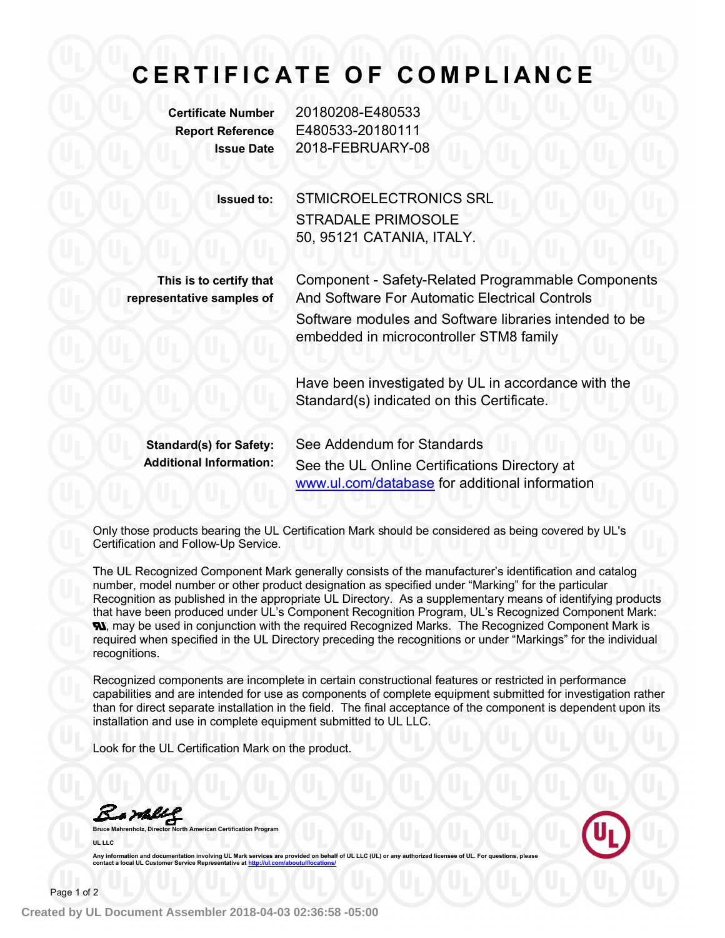## **C E R T I F I C A T E O F C O M PL I A N C E**

**Certificate Number** 20180208-E480533 **Report Reference** E480533-20180111 **Issue Date** 2018-FEBRUARY-08

> **Issued to:** STMICROELECTRONICS SRL STRADALE PRIMOSOLE 50, 95121 CATANIA, ITALY.

**This is to certify that representative samples of**

Component - Safety-Related Programmable Components And Software For Automatic Electrical Controls Software modules and Software libraries intended to be embedded in microcontroller STM8 family

Have been investigated by UL in accordance with the Standard(s) indicated on this Certificate.

**Standard(s) for Safety:** See Addendum for Standards **Additional Information:** See the UL Online Certifications Directory at www.ul.com/database for additional information

Only those products bearing the UL Certification Mark should be considered as being covered by UL's Certification and Follow-Up Service.

The UL Recognized Component Mark generally consists of the manufacturer's identification and catalog number, model number or other product designation as specified under "Marking" for the particular Recognition as published in the appropriate UL Directory. As a supplementary means of identifying products that have been produced under UL's Component Recognition Program, UL's Recognized Component Mark: **N.** may be used in conjunction with the required Recognized Marks. The Recognized Component Mark is required when specified in the UL Directory preceding the recognitions or under "Markings" for the individual recognitions.

Recognized components are incomplete in certain constructional features or restricted in performance capabilities and are intended for use as components of complete equipment submitted for investigation rather than for direct separate installation in the field. The final acceptance of the component is dependent upon its installation and use in complete equipment submitted to UL LLC.

Look for the UL Certification Mark on the product.

<u>& will</u>

**contact a local UL Customer Service Repres** 

**Bruce Mahrenholz, Director North American Certification Program UL LLC** Any information and documentation involving UL Mark services are provided on behalf of UL LLC (UL) or